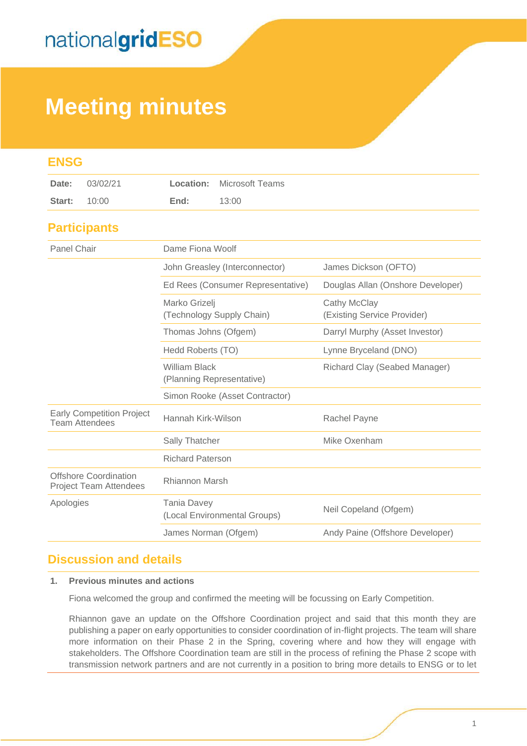## **Meeting minutes**

| <b>ENSG</b>                                                   |                                                    |                                             |
|---------------------------------------------------------------|----------------------------------------------------|---------------------------------------------|
| 03/02/21<br>Date:                                             | <b>Microsoft Teams</b><br>Location:                |                                             |
| 10:00<br>Start:                                               | 13:00<br>End:                                      |                                             |
| <b>Participants</b>                                           |                                                    |                                             |
| <b>Panel Chair</b>                                            | Dame Fiona Woolf                                   |                                             |
|                                                               | John Greasley (Interconnector)                     | James Dickson (OFTO)                        |
|                                                               | Ed Rees (Consumer Representative)                  | Douglas Allan (Onshore Developer)           |
|                                                               | Marko Grizelj<br>(Technology Supply Chain)         | Cathy McClay<br>(Existing Service Provider) |
|                                                               | Thomas Johns (Ofgem)                               | Darryl Murphy (Asset Investor)              |
|                                                               | Hedd Roberts (TO)                                  | Lynne Bryceland (DNO)                       |
|                                                               | <b>William Black</b><br>(Planning Representative)  | Richard Clay (Seabed Manager)               |
|                                                               | Simon Rooke (Asset Contractor)                     |                                             |
| <b>Early Competition Project</b><br><b>Team Attendees</b>     | Hannah Kirk-Wilson                                 | Rachel Payne                                |
|                                                               | Sally Thatcher                                     | Mike Oxenham                                |
|                                                               | <b>Richard Paterson</b>                            |                                             |
| <b>Offshore Coordination</b><br><b>Project Team Attendees</b> | Rhiannon Marsh                                     |                                             |
| Apologies                                                     | <b>Tania Davey</b><br>(Local Environmental Groups) | Neil Copeland (Ofgem)                       |
|                                                               | James Norman (Ofgem)                               | Andy Paine (Offshore Developer)             |

### **Discussion and details**

#### **1. Previous minutes and actions**

Fiona welcomed the group and confirmed the meeting will be focussing on Early Competition.

Rhiannon gave an update on the Offshore Coordination project and said that this month they are publishing a paper on early opportunities to consider coordination of in-flight projects. The team will share more information on their Phase 2 in the Spring, covering where and how they will engage with stakeholders. The Offshore Coordination team are still in the process of refining the Phase 2 scope with transmission network partners and are not currently in a position to bring more details to ENSG or to let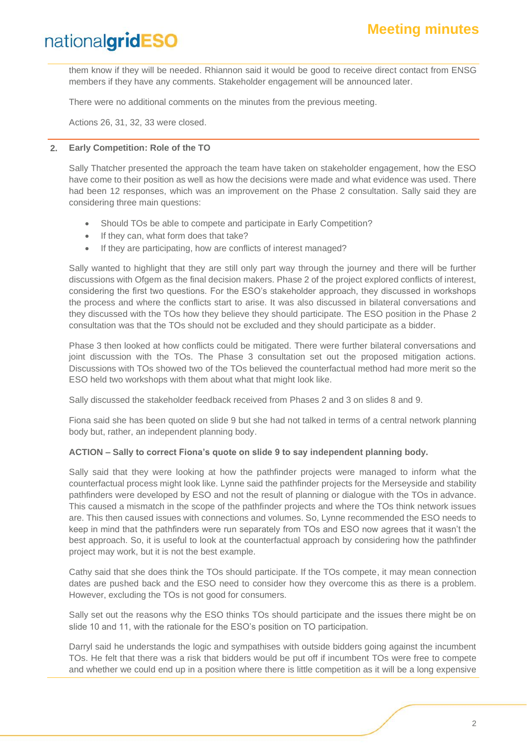them know if they will be needed. Rhiannon said it would be good to receive direct contact from ENSG members if they have any comments. Stakeholder engagement will be announced later.

There were no additional comments on the minutes from the previous meeting.

Actions 26, 31, 32, 33 were closed.

#### **2. Early Competition: Role of the TO**

Sally Thatcher presented the approach the team have taken on stakeholder engagement, how the ESO have come to their position as well as how the decisions were made and what evidence was used. There had been 12 responses, which was an improvement on the Phase 2 consultation. Sally said they are considering three main questions:

- Should TOs be able to compete and participate in Early Competition?
- If they can, what form does that take?
- If they are participating, how are conflicts of interest managed?

Sally wanted to highlight that they are still only part way through the journey and there will be further discussions with Ofgem as the final decision makers. Phase 2 of the project explored conflicts of interest, considering the first two questions. For the ESO's stakeholder approach, they discussed in workshops the process and where the conflicts start to arise. It was also discussed in bilateral conversations and they discussed with the TOs how they believe they should participate. The ESO position in the Phase 2 consultation was that the TOs should not be excluded and they should participate as a bidder.

Phase 3 then looked at how conflicts could be mitigated. There were further bilateral conversations and joint discussion with the TOs. The Phase 3 consultation set out the proposed mitigation actions. Discussions with TOs showed two of the TOs believed the counterfactual method had more merit so the ESO held two workshops with them about what that might look like.

Sally discussed the stakeholder feedback received from Phases 2 and 3 on slides 8 and 9.

Fiona said she has been quoted on slide 9 but she had not talked in terms of a central network planning body but, rather, an independent planning body.

#### **ACTION – Sally to correct Fiona's quote on slide 9 to say independent planning body.**

Sally said that they were looking at how the pathfinder projects were managed to inform what the counterfactual process might look like. Lynne said the pathfinder projects for the Merseyside and stability pathfinders were developed by ESO and not the result of planning or dialogue with the TOs in advance. This caused a mismatch in the scope of the pathfinder projects and where the TOs think network issues are. This then caused issues with connections and volumes. So, Lynne recommended the ESO needs to keep in mind that the pathfinders were run separately from TOs and ESO now agrees that it wasn't the best approach. So, it is useful to look at the counterfactual approach by considering how the pathfinder project may work, but it is not the best example.

Cathy said that she does think the TOs should participate. If the TOs compete, it may mean connection dates are pushed back and the ESO need to consider how they overcome this as there is a problem. However, excluding the TOs is not good for consumers.

Sally set out the reasons why the ESO thinks TOs should participate and the issues there might be on slide 10 and 11, with the rationale for the ESO's position on TO participation.

Darryl said he understands the logic and sympathises with outside bidders going against the incumbent TOs. He felt that there was a risk that bidders would be put off if incumbent TOs were free to compete and whether we could end up in a position where there is little competition as it will be a long expensive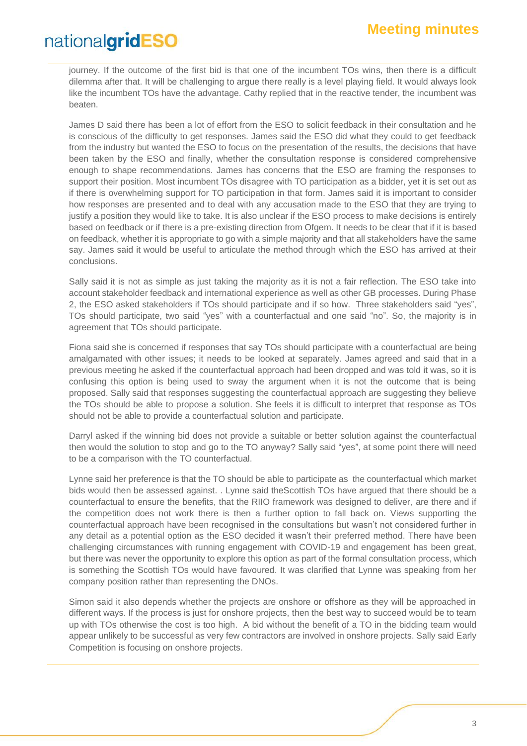journey. If the outcome of the first bid is that one of the incumbent TOs wins, then there is a difficult dilemma after that. It will be challenging to argue there really is a level playing field. It would always look like the incumbent TOs have the advantage. Cathy replied that in the reactive tender, the incumbent was beaten.

James D said there has been a lot of effort from the ESO to solicit feedback in their consultation and he is conscious of the difficulty to get responses. James said the ESO did what they could to get feedback from the industry but wanted the ESO to focus on the presentation of the results, the decisions that have been taken by the ESO and finally, whether the consultation response is considered comprehensive enough to shape recommendations. James has concerns that the ESO are framing the responses to support their position. Most incumbent TOs disagree with TO participation as a bidder, yet it is set out as if there is overwhelming support for TO participation in that form. James said it is important to consider how responses are presented and to deal with any accusation made to the ESO that they are trying to justify a position they would like to take. It is also unclear if the ESO process to make decisions is entirely based on feedback or if there is a pre-existing direction from Ofgem. It needs to be clear that if it is based on feedback, whether it is appropriate to go with a simple majority and that all stakeholders have the same say. James said it would be useful to articulate the method through which the ESO has arrived at their conclusions.

Sally said it is not as simple as just taking the majority as it is not a fair reflection. The ESO take into account stakeholder feedback and international experience as well as other GB processes. During Phase 2, the ESO asked stakeholders if TOs should participate and if so how. Three stakeholders said "yes", TOs should participate, two said "yes" with a counterfactual and one said "no". So, the majority is in agreement that TOs should participate.

Fiona said she is concerned if responses that say TOs should participate with a counterfactual are being amalgamated with other issues; it needs to be looked at separately. James agreed and said that in a previous meeting he asked if the counterfactual approach had been dropped and was told it was, so it is confusing this option is being used to sway the argument when it is not the outcome that is being proposed. Sally said that responses suggesting the counterfactual approach are suggesting they believe the TOs should be able to propose a solution. She feels it is difficult to interpret that response as TOs should not be able to provide a counterfactual solution and participate.

Darryl asked if the winning bid does not provide a suitable or better solution against the counterfactual then would the solution to stop and go to the TO anyway? Sally said "yes", at some point there will need to be a comparison with the TO counterfactual.

Lynne said her preference is that the TO should be able to participate as the counterfactual which market bids would then be assessed against. . Lynne said theScottish TOs have argued that there should be a counterfactual to ensure the benefits, that the RIIO framework was designed to deliver, are there and if the competition does not work there is then a further option to fall back on. Views supporting the counterfactual approach have been recognised in the consultations but wasn't not considered further in any detail as a potential option as the ESO decided it wasn't their preferred method. There have been challenging circumstances with running engagement with COVID-19 and engagement has been great, but there was never the opportunity to explore this option as part of the formal consultation process, which is something the Scottish TOs would have favoured. It was clarified that Lynne was speaking from her company position rather than representing the DNOs.

Simon said it also depends whether the projects are onshore or offshore as they will be approached in different ways. If the process is just for onshore projects, then the best way to succeed would be to team up with TOs otherwise the cost is too high. A bid without the benefit of a TO in the bidding team would appear unlikely to be successful as very few contractors are involved in onshore projects. Sally said Early Competition is focusing on onshore projects.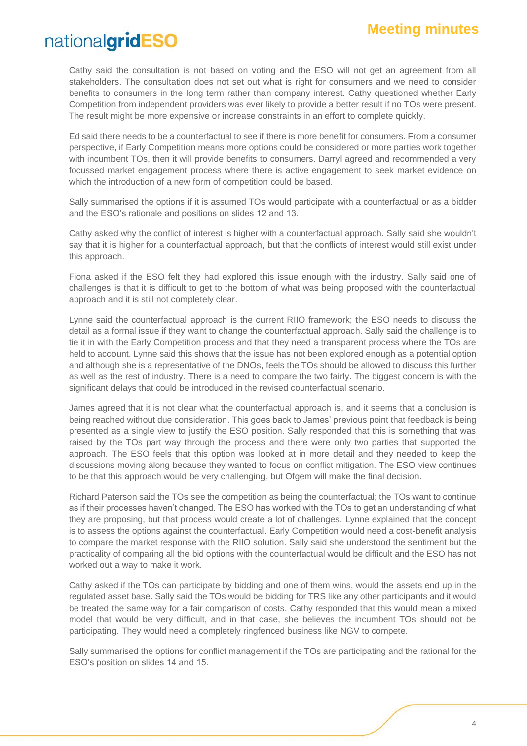Cathy said the consultation is not based on voting and the ESO will not get an agreement from all stakeholders. The consultation does not set out what is right for consumers and we need to consider benefits to consumers in the long term rather than company interest. Cathy questioned whether Early Competition from independent providers was ever likely to provide a better result if no TOs were present. The result might be more expensive or increase constraints in an effort to complete quickly.

Ed said there needs to be a counterfactual to see if there is more benefit for consumers. From a consumer perspective, if Early Competition means more options could be considered or more parties work together with incumbent TOs, then it will provide benefits to consumers. Darryl agreed and recommended a very focussed market engagement process where there is active engagement to seek market evidence on which the introduction of a new form of competition could be based.

Sally summarised the options if it is assumed TOs would participate with a counterfactual or as a bidder and the ESO's rationale and positions on slides 12 and 13.

Cathy asked why the conflict of interest is higher with a counterfactual approach. Sally said she wouldn't say that it is higher for a counterfactual approach, but that the conflicts of interest would still exist under this approach.

Fiona asked if the ESO felt they had explored this issue enough with the industry. Sally said one of challenges is that it is difficult to get to the bottom of what was being proposed with the counterfactual approach and it is still not completely clear.

Lynne said the counterfactual approach is the current RIIO framework; the ESO needs to discuss the detail as a formal issue if they want to change the counterfactual approach. Sally said the challenge is to tie it in with the Early Competition process and that they need a transparent process where the TOs are held to account. Lynne said this shows that the issue has not been explored enough as a potential option and although she is a representative of the DNOs, feels the TOs should be allowed to discuss this further as well as the rest of industry. There is a need to compare the two fairly. The biggest concern is with the significant delays that could be introduced in the revised counterfactual scenario.

James agreed that it is not clear what the counterfactual approach is, and it seems that a conclusion is being reached without due consideration. This goes back to James' previous point that feedback is being presented as a single view to justify the ESO position. Sally responded that this is something that was raised by the TOs part way through the process and there were only two parties that supported the approach. The ESO feels that this option was looked at in more detail and they needed to keep the discussions moving along because they wanted to focus on conflict mitigation. The ESO view continues to be that this approach would be very challenging, but Ofgem will make the final decision.

Richard Paterson said the TOs see the competition as being the counterfactual; the TOs want to continue as if their processes haven't changed. The ESO has worked with the TOs to get an understanding of what they are proposing, but that process would create a lot of challenges. Lynne explained that the concept is to assess the options against the counterfactual. Early Competition would need a cost-benefit analysis to compare the market response with the RIIO solution. Sally said she understood the sentiment but the practicality of comparing all the bid options with the counterfactual would be difficult and the ESO has not worked out a way to make it work.

Cathy asked if the TOs can participate by bidding and one of them wins, would the assets end up in the regulated asset base. Sally said the TOs would be bidding for TRS like any other participants and it would be treated the same way for a fair comparison of costs. Cathy responded that this would mean a mixed model that would be very difficult, and in that case, she believes the incumbent TOs should not be participating. They would need a completely ringfenced business like NGV to compete.

Sally summarised the options for conflict management if the TOs are participating and the rational for the ESO's position on slides 14 and 15.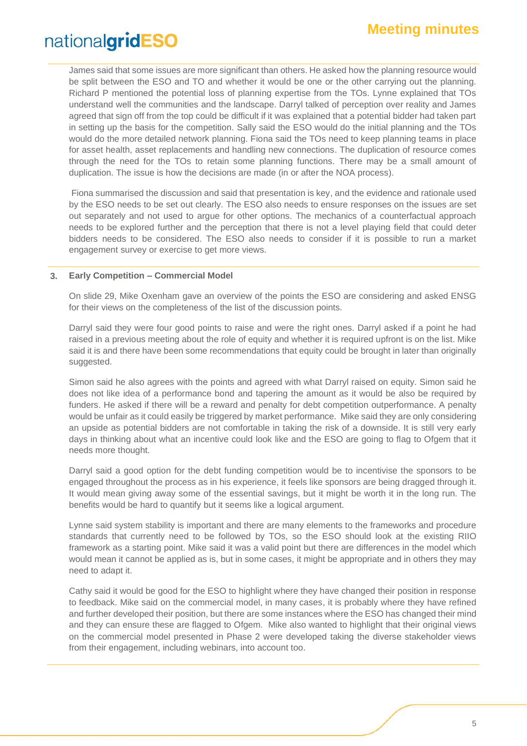James said that some issues are more significant than others. He asked how the planning resource would be split between the ESO and TO and whether it would be one or the other carrying out the planning. Richard P mentioned the potential loss of planning expertise from the TOs. Lynne explained that TOs understand well the communities and the landscape. Darryl talked of perception over reality and James agreed that sign off from the top could be difficult if it was explained that a potential bidder had taken part in setting up the basis for the competition. Sally said the ESO would do the initial planning and the TOs would do the more detailed network planning. Fiona said the TOs need to keep planning teams in place for asset health, asset replacements and handling new connections. The duplication of resource comes through the need for the TOs to retain some planning functions. There may be a small amount of duplication. The issue is how the decisions are made (in or after the NOA process).

Fiona summarised the discussion and said that presentation is key, and the evidence and rationale used by the ESO needs to be set out clearly. The ESO also needs to ensure responses on the issues are set out separately and not used to argue for other options. The mechanics of a counterfactual approach needs to be explored further and the perception that there is not a level playing field that could deter bidders needs to be considered. The ESO also needs to consider if it is possible to run a market engagement survey or exercise to get more views.

#### **3. Early Competition – Commercial Model**

On slide 29, Mike Oxenham gave an overview of the points the ESO are considering and asked ENSG for their views on the completeness of the list of the discussion points.

Darryl said they were four good points to raise and were the right ones. Darryl asked if a point he had raised in a previous meeting about the role of equity and whether it is required upfront is on the list. Mike said it is and there have been some recommendations that equity could be brought in later than originally suggested.

Simon said he also agrees with the points and agreed with what Darryl raised on equity. Simon said he does not like idea of a performance bond and tapering the amount as it would be also be required by funders. He asked if there will be a reward and penalty for debt competition outperformance. A penalty would be unfair as it could easily be triggered by market performance. Mike said they are only considering an upside as potential bidders are not comfortable in taking the risk of a downside. It is still very early days in thinking about what an incentive could look like and the ESO are going to flag to Ofgem that it needs more thought.

Darryl said a good option for the debt funding competition would be to incentivise the sponsors to be engaged throughout the process as in his experience, it feels like sponsors are being dragged through it. It would mean giving away some of the essential savings, but it might be worth it in the long run. The benefits would be hard to quantify but it seems like a logical argument.

Lynne said system stability is important and there are many elements to the frameworks and procedure standards that currently need to be followed by TOs, so the ESO should look at the existing RIIO framework as a starting point. Mike said it was a valid point but there are differences in the model which would mean it cannot be applied as is, but in some cases, it might be appropriate and in others they may need to adapt it.

Cathy said it would be good for the ESO to highlight where they have changed their position in response to feedback. Mike said on the commercial model, in many cases, it is probably where they have refined and further developed their position, but there are some instances where the ESO has changed their mind and they can ensure these are flagged to Ofgem. Mike also wanted to highlight that their original views on the commercial model presented in Phase 2 were developed taking the diverse stakeholder views from their engagement, including webinars, into account too.